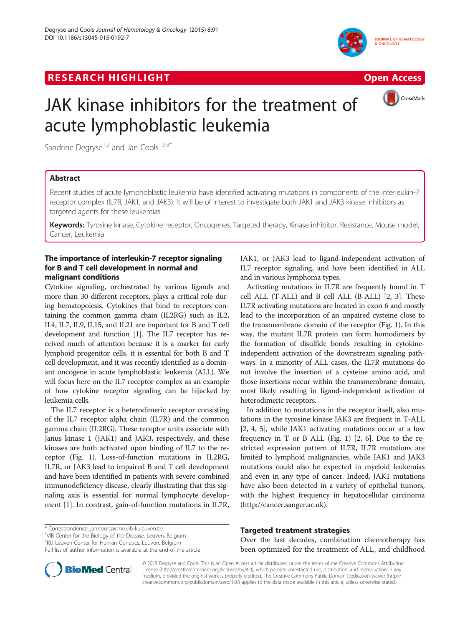# **RESEARCH HIGHLIGHT** THE OPEN ACCESS OPEN ACCESS







# JAK kinase inhibitors for the treatment of acute lymphoblastic leukemia

Sandrine Degryse<sup>1,2</sup> and Jan Cools<sup>1,2,3\*</sup>

## Abstract

Recent studies of acute lymphoblastic leukemia have identified activating mutations in components of the interleukin-7 receptor complex (IL7R, JAK1, and JAK3). It will be of interest to investigate both JAK1 and JAK3 kinase inhibitors as targeted agents for these leukemias.

Keywords: Tyrosine kinase, Cytokine receptor, Oncogenes, Targeted therapy, Kinase inhibitor, Resistance, Mouse model, Cancer, Leukemia

### The importance of interleukin-7 receptor signaling for B and T cell development in normal and malignant conditions

Cytokine signaling, orchestrated by various ligands and more than 30 different receptors, plays a critical role during hematopoiesis. Cytokines that bind to receptors containing the common gamma chain (IL2RG) such as IL2, IL4, IL7, IL9, IL15, and IL21 are important for B and T cell development and function [[1\]](#page-3-0). The IL7 receptor has received much of attention because it is a marker for early lymphoid progenitor cells, it is essential for both B and T cell development, and it was recently identified as a dominant oncogene in acute lymphoblastic leukemia (ALL). We will focus here on the IL7 receptor complex as an example of how cytokine receptor signaling can be hijacked by leukemia cells.

The IL7 receptor is a heterodimeric receptor consisting of the IL7 receptor alpha chain (IL7R) and the common gamma chain (IL2RG). These receptor units associate with Janus kinase 1 (JAK1) and JAK3, respectively, and these kinases are both activated upon binding of IL7 to the receptor (Fig. [1\)](#page-1-0). Loss-of-function mutations in IL2RG, IL7R, or JAK3 lead to impaired B and T cell development and have been identified in patients with severe combined immunodeficiency disease, clearly illustrating that this signaling axis is essential for normal lymphocyte development [[1](#page-3-0)]. In contrast, gain-of-function mutations in IL7R,

\* Correspondence: [jan.cools@cme.vib-kuleuven.be](mailto:jan.cools@cme.vib-kuleuven.be) <sup>1</sup>

2 KU Leuven Center for Human Genetics, Leuven, Belgium

JAK1, or JAK3 lead to ligand-independent activation of IL7 receptor signaling, and have been identified in ALL and in various lymphoma types.

Activating mutations in IL7R are frequently found in T cell ALL (T-ALL) and B cell ALL (B-ALL) [[2, 3\]](#page-3-0). These IL7R activating mutations are located in exon 6 and mostly lead to the incorporation of an unpaired cysteine close to the transmembrane domain of the receptor (Fig. [1\)](#page-1-0). In this way, the mutant IL7R protein can form homodimers by the formation of disulfide bonds resulting in cytokineindependent activation of the downstream signaling pathways. In a minority of ALL cases, the IL7R mutations do not involve the insertion of a cysteine amino acid, and those insertions occur within the transmembrane domain, most likely resulting in ligand-independent activation of heterodimeric receptors.

In addition to mutations in the receptor itself, also mutations in the tyrosine kinase JAK3 are frequent in T-ALL [[2, 4](#page-3-0), [5\]](#page-3-0), while JAK1 activating mutations occur at a low frequency in T or B ALL (Fig. [1\)](#page-1-0) [\[2,](#page-3-0) [6\]](#page-4-0). Due to the restricted expression pattern of IL7R, IL7R mutations are limited to lymphoid malignancies, while JAK1 and JAK3 mutations could also be expected in myeloid leukemias and even in any type of cancer. Indeed, JAK1 mutations have also been detected in a variety of epithelial tumors, with the highest frequency in hepatocellular carcinoma (<http://cancer.sanger.ac.uk>).

#### Targeted treatment strategies

Over the last decades, combination chemotherapy has been optimized for the treatment of ALL, and childhood



© 2015 Degryse and Cools. This is an Open Access article distributed under the terms of the Creative Commons Attribution License (<http://creativecommons.org/licenses/by/4.0>), which permits unrestricted use, distribution, and reproduction in any medium, provided the original work is properly credited. The Creative Commons Public Domain Dedication waiver [\(http://](http://creativecommons.org/publicdomain/zero/1.0) [creativecommons.org/publicdomain/zero/1.0/\)](http://creativecommons.org/publicdomain/zero/1.0) applies to the data made available in this article, unless otherwise stated.

<sup>&</sup>lt;sup>1</sup>VIB Center for the Biology of the Disease, Leuven, Belgium

Full list of author information is available at the end of the article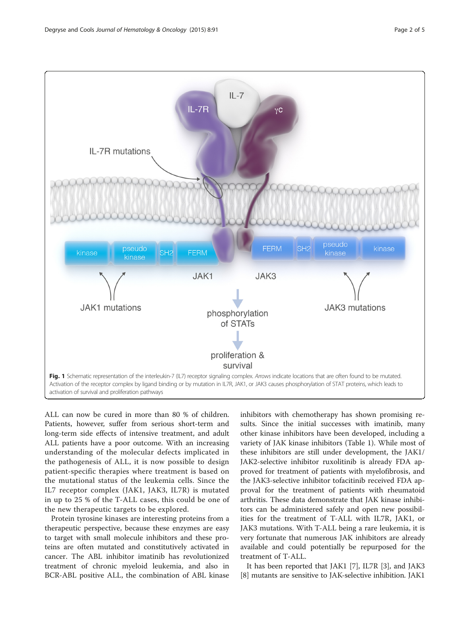<span id="page-1-0"></span>

ALL can now be cured in more than 80 % of children. Patients, however, suffer from serious short-term and long-term side effects of intensive treatment, and adult ALL patients have a poor outcome. With an increasing understanding of the molecular defects implicated in the pathogenesis of ALL, it is now possible to design patient-specific therapies where treatment is based on the mutational status of the leukemia cells. Since the IL7 receptor complex (JAK1, JAK3, IL7R) is mutated in up to 25 % of the T-ALL cases, this could be one of the new therapeutic targets to be explored.

Protein tyrosine kinases are interesting proteins from a therapeutic perspective, because these enzymes are easy to target with small molecule inhibitors and these proteins are often mutated and constitutively activated in cancer. The ABL inhibitor imatinib has revolutionized treatment of chronic myeloid leukemia, and also in BCR-ABL positive ALL, the combination of ABL kinase

inhibitors with chemotherapy has shown promising results. Since the initial successes with imatinib, many other kinase inhibitors have been developed, including a variety of JAK kinase inhibitors (Table [1\)](#page-2-0). While most of these inhibitors are still under development, the JAK1/ JAK2-selective inhibitor ruxolitinib is already FDA approved for treatment of patients with myelofibrosis, and the JAK3-selective inhibitor tofacitinib received FDA approval for the treatment of patients with rheumatoid arthritis. These data demonstrate that JAK kinase inhibitors can be administered safely and open new possibilities for the treatment of T-ALL with IL7R, JAK1, or JAK3 mutations. With T-ALL being a rare leukemia, it is very fortunate that numerous JAK inhibitors are already available and could potentially be repurposed for the treatment of T-ALL.

It has been reported that JAK1 [\[7](#page-4-0)], IL7R [[3\]](#page-3-0), and JAK3 [[8\]](#page-4-0) mutants are sensitive to JAK-selective inhibition. JAK1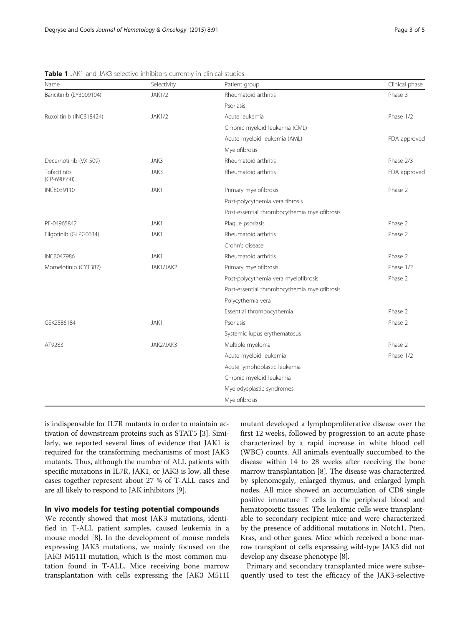| Name                       | Selectivity   | Patient group                                | Clinical phase |
|----------------------------|---------------|----------------------------------------------|----------------|
| Baricitinib (LY3009104)    | <b>JAK1/2</b> | Rheumatoid arthritis                         | Phase 3        |
|                            |               | Psoriasis                                    |                |
| Ruxolitinib (INCB18424)    | <b>JAK1/2</b> | Acute leukemia                               | Phase 1/2      |
|                            |               | Chronic myeloid leukemia (CML)               |                |
|                            |               | Acute myeloid leukemia (AML)                 | FDA approved   |
|                            |               | Myelofibrosis                                |                |
| Decernotinib (VX-509)      | JAK3          | Rheumatoid arthritis                         | Phase 2/3      |
| Tofacitinib<br>(CP-690550) | JAK3          | Rheumatoid arthritis                         | FDA approved   |
| <b>INCB039110</b>          | JAK1          | Primary myelofibrosis                        | Phase 2        |
|                            |               | Post-polycythemia vera fibrosis              |                |
|                            |               | Post-essential thrombocythemia myelofibrosis |                |
| PF-04965842                | JAK1          | Plaque psoriasis                             | Phase 2        |
| Filgotinib (GLPG0634)      | JAK1          | Rheumatoid arthritis                         | Phase 2        |
|                            |               | Crohn's disease                              |                |
| <b>INCB047986</b>          | JAK1          | Rheumatoid arthritis                         | Phase 2        |
| Momelotinib (CYT387)       | JAK1/JAK2     | Primary myelofibrosis                        | Phase 1/2      |
|                            |               | Post-polycythemia vera myelofibrosis         | Phase 2        |
|                            |               | Post-essential thrombocythemia myelofibrosis |                |
|                            |               | Polycythemia vera                            |                |
|                            |               | Essential thrombocythemia                    | Phase 2        |
| GSK2586184                 | JAK1          | Psoriasis                                    | Phase 2        |
|                            |               | Systemic lupus erythematosus                 |                |
| AT9283                     | JAK2/JAK3     | Multiple myeloma                             | Phase 2        |
|                            |               | Acute myeloid leukemia                       | Phase 1/2      |
|                            |               | Acute lymphoblastic leukemia                 |                |
|                            |               | Chronic myeloid leukemia                     |                |
|                            |               | Myelodysplastic syndromes                    |                |
|                            |               | Myelofibrosis                                |                |

<span id="page-2-0"></span>Table 1 JAK1 and JAK3-selective inhibitors currently in clinical studies

is indispensable for IL7R mutants in order to maintain activation of downstream proteins such as STAT5 [\[3\]](#page-3-0). Similarly, we reported several lines of evidence that JAK1 is required for the transforming mechanisms of most JAK3 mutants. Thus, although the number of ALL patients with specific mutations in IL7R, JAK1, or JAK3 is low, all these cases together represent about 27 % of T-ALL cases and are all likely to respond to JAK inhibitors [\[9](#page-4-0)].

#### In vivo models for testing potential compounds

We recently showed that most JAK3 mutations, identified in T-ALL patient samples, caused leukemia in a mouse model [[8](#page-4-0)]. In the development of mouse models expressing JAK3 mutations, we mainly focused on the JAK3 M511I mutation, which is the most common mutation found in T-ALL. Mice receiving bone marrow transplantation with cells expressing the JAK3 M511I mutant developed a lymphoproliferative disease over the first 12 weeks, followed by progression to an acute phase characterized by a rapid increase in white blood cell (WBC) counts. All animals eventually succumbed to the disease within 14 to 28 weeks after receiving the bone marrow transplantation [\[8](#page-4-0)]. The disease was characterized by splenomegaly, enlarged thymus, and enlarged lymph nodes. All mice showed an accumulation of CD8 single positive immature T cells in the peripheral blood and hematopoietic tissues. The leukemic cells were transplantable to secondary recipient mice and were characterized by the presence of additional mutations in Notch1, Pten, Kras, and other genes. Mice which received a bone marrow transplant of cells expressing wild-type JAK3 did not develop any disease phenotype [\[8\]](#page-4-0).

Primary and secondary transplanted mice were subsequently used to test the efficacy of the JAK3-selective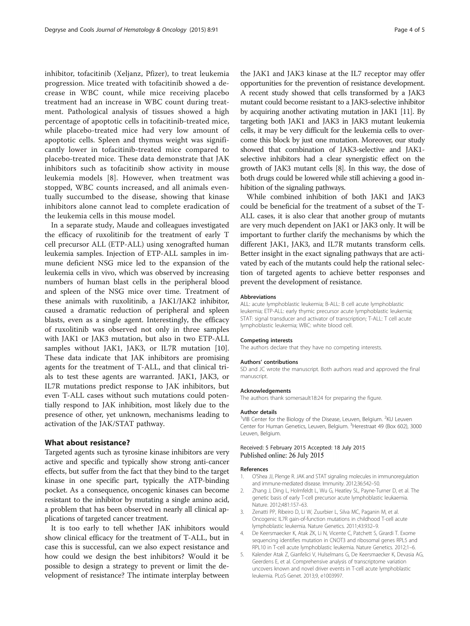<span id="page-3-0"></span>inhibitor, tofacitinib (Xeljanz, Pfizer), to treat leukemia progression. Mice treated with tofacitinib showed a decrease in WBC count, while mice receiving placebo treatment had an increase in WBC count during treatment. Pathological analysis of tissues showed a high percentage of apoptotic cells in tofacitinib-treated mice, while placebo-treated mice had very low amount of apoptotic cells. Spleen and thymus weight was significantly lower in tofacitinib-treated mice compared to placebo-treated mice. These data demonstrate that JAK inhibitors such as tofacitinib show activity in mouse leukemia models [[8](#page-4-0)]. However, when treatment was stopped, WBC counts increased, and all animals eventually succumbed to the disease, showing that kinase inhibitors alone cannot lead to complete eradication of the leukemia cells in this mouse model.

In a separate study, Maude and colleagues investigated the efficacy of ruxolitinib for the treatment of early T cell precursor ALL (ETP-ALL) using xenografted human leukemia samples. Injection of ETP-ALL samples in immune deficient NSG mice led to the expansion of the leukemia cells in vivo, which was observed by increasing numbers of human blast cells in the peripheral blood and spleen of the NSG mice over time. Treatment of these animals with ruxolitinib, a JAK1/JAK2 inhibitor, caused a dramatic reduction of peripheral and spleen blasts, even as a single agent. Interestingly, the efficacy of ruxolitinib was observed not only in three samples with JAK1 or JAK3 mutation, but also in two ETP-ALL samples without JAK1, JAK3, or IL7R mutation [\[10](#page-4-0)]. These data indicate that JAK inhibitors are promising agents for the treatment of T-ALL, and that clinical trials to test these agents are warranted. JAK1, JAK3, or IL7R mutations predict response to JAK inhibitors, but even T-ALL cases without such mutations could potentially respond to JAK inhibition, most likely due to the presence of other, yet unknown, mechanisms leading to activation of the JAK/STAT pathway.

#### What about resistance?

Targeted agents such as tyrosine kinase inhibitors are very active and specific and typically show strong anti-cancer effects, but suffer from the fact that they bind to the target kinase in one specific part, typically the ATP-binding pocket. As a consequence, oncogenic kinases can become resistant to the inhibitor by mutating a single amino acid, a problem that has been observed in nearly all clinical applications of targeted cancer treatment.

It is too early to tell whether JAK inhibitors would show clinical efficacy for the treatment of T-ALL, but in case this is successful, can we also expect resistance and how could we design the best inhibitors? Would it be possible to design a strategy to prevent or limit the development of resistance? The intimate interplay between

the JAK1 and JAK3 kinase at the IL7 receptor may offer opportunities for the prevention of resistance development. A recent study showed that cells transformed by a JAK3 mutant could become resistant to a JAK3-selective inhibitor by acquiring another activating mutation in JAK1 [[11\]](#page-4-0). By targeting both JAK1 and JAK3 in JAK3 mutant leukemia cells, it may be very difficult for the leukemia cells to overcome this block by just one mutation. Moreover, our study showed that combination of JAK3-selective and JAK1 selective inhibitors had a clear synergistic effect on the growth of JAK3 mutant cells [\[8](#page-4-0)]. In this way, the dose of both drugs could be lowered while still achieving a good inhibition of the signaling pathways.

While combined inhibition of both JAK1 and JAK3 could be beneficial for the treatment of a subset of the T-ALL cases, it is also clear that another group of mutants are very much dependent on JAK1 or JAK3 only. It will be important to further clarify the mechanisms by which the different JAK1, JAK3, and IL7R mutants transform cells. Better insight in the exact signaling pathways that are activated by each of the mutants could help the rational selection of targeted agents to achieve better responses and prevent the development of resistance.

#### Abbreviations

ALL: acute lymphoblastic leukemia; B-ALL: B cell acute lymphoblastic leukemia; ETP-ALL: early thymic precursor acute lymphoblastic leukemia; STAT: signal transducer and activator of transcription; T-ALL: T cell acute lymphoblastic leukemia; WBC: white blood cell.

#### Competing interests

The authors declare that they have no competing interests.

#### Authors' contributions

SD and JC wrote the manuscript. Both authors read and approved the final manuscript.

#### Acknowledgements

The authors thank somersault18:24 for preparing the figure.

#### Author details

<sup>1</sup>VIB Center for the Biology of the Disease, Leuven, Belgium. <sup>2</sup>KU Leuven Center for Human Genetics, Leuven, Belgium. <sup>3</sup>Herestraat 49 (Box 602), 3000 Leuven, Belgium.

#### Received: 5 February 2015 Accepted: 18 July 2015 Published online: 26 July 2015

#### References

- 1. O'Shea JJ, Plenge R. JAK and STAT signaling molecules in immunoregulation and immune-mediated disease. Immunity. 2012;36:542–50.
- 2. Zhang J, Ding L, Holmfeldt L, Wu G, Heatley SL, Payne-Turner D, et al. The genetic basis of early T-cell precursor acute lymphoblastic leukaemia. Nature. 2012;481:157–63.
- 3. Zenatti PP, Ribeiro D, Li W, Zuurbier L, Silva MC, Paganin M, et al. Oncogenic IL7R gain-of-function mutations in childhood T-cell acute lymphoblastic leukemia. Nature Genetics. 2011;43:932–9.
- 4. De Keersmaecker K, Atak ZK, Li N, Vicente C, Patchett S, Girardi T. Exome sequencing identifies mutation in CNOT3 and ribosomal genes RPL5 and RPL10 in T-cell acute lymphoblastic leukemia. Nature Genetics. 2012;1–6.
- 5. Kalender Atak Z, Gianfelici V, Hulselmans G, De Keersmaecker K, Devasia AG, Geerdens E, et al. Comprehensive analysis of transcriptome variation uncovers known and novel driver events in T-cell acute lymphoblastic leukemia. PLoS Genet. 2013;9, e1003997.